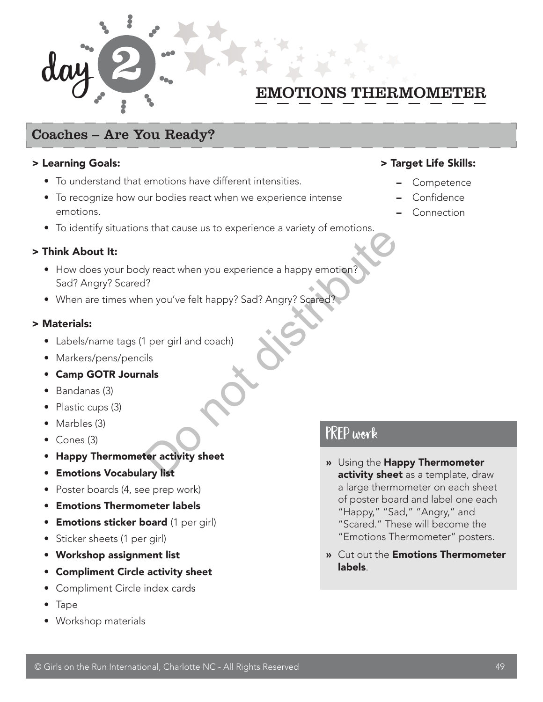

## EMOTIONS THERMOMETER

## Coaches – Are You Ready?

#### > Learning Goals:

- To understand that emotions have different intensities.
- To recognize how our bodies react when we experience intense emotions.
- To identify situations that cause us to experience a variety of emotions.

#### > Think About It:

- How does your body react when you experience a happy emotion? Sad? Angry? Scared? Vy react when you experience a happy emotion?<br>
Present you've felt happy? Sad? Angry? Scared?<br>
I per girl and coach)<br>
ils<br> **Islands**<br> **Example 3**<br> **Example 3**<br> **Example 3**<br> **Example 3**<br> **Example 3**<br> **Example 3**<br> **Example 3**
- When are times when you've felt happy? Sad? Angry? Scared?

#### > Materials:

- Labels/name tags (1 per girl and coach)
- Markers/pens/pencils
- Camp GOTR Journals
- Bandanas (3)
- Plastic cups (3)
- Marbles (3)
- Cones (3)
- Happy Thermometer activity sheet
- Emotions Vocabulary list
- Poster boards (4, see prep work)
- Emotions Thermometer labels
- **Emotions sticker board** (1 per girl)
- Sticker sheets (1 per girl)
- Workshop assignment list
- Compliment Circle activity sheet
- Compliment Circle index cards
- Tape
- Workshop materials

## > Target Life Skills:

- Competence
- Confidence
- Connection

## Prep work

- » Using the Happy Thermometer activity sheet as a template, draw a large thermometer on each sheet of poster board and label one each "Happy," "Sad," "Angry," and "Scared." These will become the "Emotions Thermometer" posters.
- » Cut out the Emotions Thermometer labels.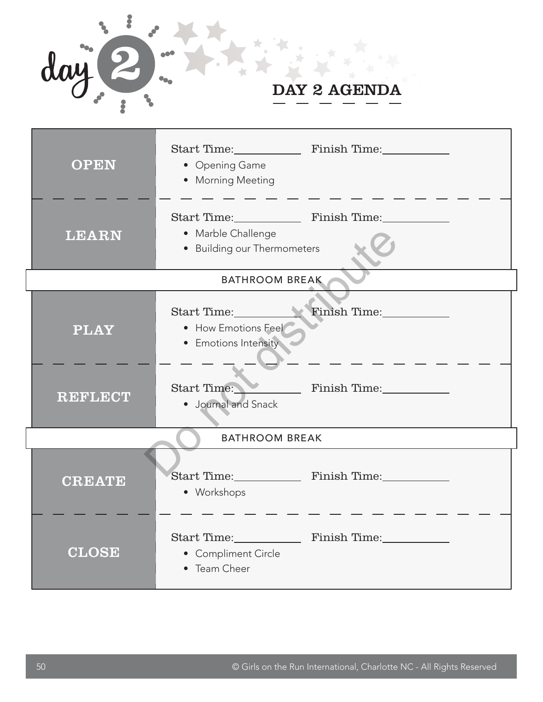

| <b>OPEN</b>           | • Opening Game<br>• Morning Meeting                                     |  |  |  |  |
|-----------------------|-------------------------------------------------------------------------|--|--|--|--|
| <b>LEARN</b>          | • Marble Challenge<br>• Building our Thermometers                       |  |  |  |  |
| <b>BATHROOM BREAK</b> |                                                                         |  |  |  |  |
| <b>PLAY</b>           | Start Time: Finish Time:<br>• How Emotions Feel<br>• Emotions Intensity |  |  |  |  |
| <b>REFLECT</b>        | Finish Time:<br>Start Time:<br>· Journal and Snack                      |  |  |  |  |
| <b>BATHROOM BREAK</b> |                                                                         |  |  |  |  |
| <b>CREATE</b>         | Start Time: Finish Time:<br>• Workshops                                 |  |  |  |  |
| <b>CLOSE</b>          | Start Time: Finish Time:<br>• Compliment Circle<br>• Team Cheer         |  |  |  |  |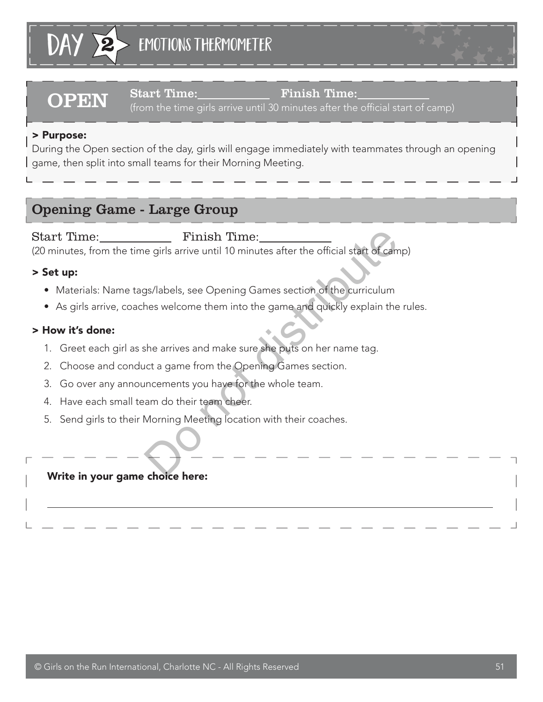

OPEN Start Time: Finish Time: (from the time girls arrive until 30 minutes after the official start of camp)

## > Purpose:

During the Open section of the day, girls will engage immediately with teammates through an opening game, then split into small teams for their Morning Meeting.

## Opening Game - Large Group

Start Time: Finish Time: (20 minutes, from the time girls arrive until 10 minutes after the official start of camp) Finish Time:<br>
e girls arrive until 10 minutes after the official start of came<br>
gs/labels, see Opening Games section of the curriculum<br>
hes welcome them into the game and quickly explain the<br>
she arrives and make sure she

## > Set up:

 $\overline{a}$ 

- Materials: Name tags/labels, see Opening Games section of the curriculum
- As girls arrive, coaches welcome them into the game and quickly explain the rules.

## > How it's done:

- 1. Greet each girl as she arrives and make sure she puts on her name tag.
- 2. Choose and conduct a game from the Opening Games section.
- 3. Go over any announcements you have for the whole team.
- 4. Have each small team do their team cheer.
- 5. Send girls to their Morning Meeting location with their coaches.

## Write in your game choice here: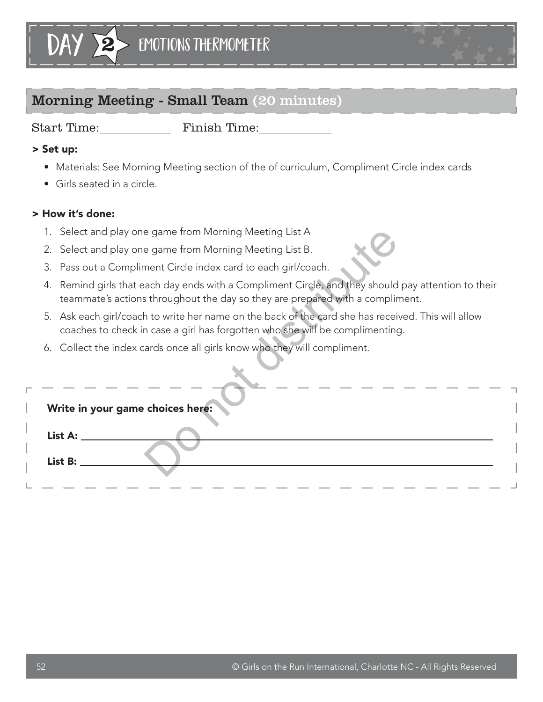# **2** Emotions Thermometer

## Morning Meeting - Small Team (20 minutes)

day

Start Time: Finish Time:

## > Set up:

- Materials: See Morning Meeting section of the of curriculum, Compliment Circle index cards
- Girls seated in a circle.

## > How it's done:

- 1. Select and play one game from Morning Meeting List A
- 2. Select and play one game from Morning Meeting List B.
- 3. Pass out a Compliment Circle index card to each girl/coach.
- 4. Remind girls that each day ends with a Compliment Circle, and they should pay attention to their teammate's actions throughout the day so they are prepared with a compliment.
- 5. Ask each girl/coach to write her name on the back of the card she has received. This will allow coaches to check in case a girl has forgotten who she will be complimenting.
- 6. Collect the index cards once all girls know who they will compliment.

|                                                                                                              |                                                                                                                                                                                    | 1. Select and play one game from Morning Meeting List A                                                                                                                           |  |  |  |
|--------------------------------------------------------------------------------------------------------------|------------------------------------------------------------------------------------------------------------------------------------------------------------------------------------|-----------------------------------------------------------------------------------------------------------------------------------------------------------------------------------|--|--|--|
|                                                                                                              |                                                                                                                                                                                    | 2. Select and play one game from Morning Meeting List B.                                                                                                                          |  |  |  |
|                                                                                                              |                                                                                                                                                                                    | 3. Pass out a Compliment Circle index card to each girl/coach.                                                                                                                    |  |  |  |
|                                                                                                              | 4.                                                                                                                                                                                 | Remind girls that each day ends with a Compliment Circle, and they should pay attention to their<br>teammate's actions throughout the day so they are prepared with a compliment. |  |  |  |
|                                                                                                              | 5. Ask each girl/coach to write her name on the back of the card she has received. This will allow<br>coaches to check in case a girl has forgotten who she will be complimenting. |                                                                                                                                                                                   |  |  |  |
| 6. Collect the index cards once all girls know who they will compliment.<br>Write in your game choices here: |                                                                                                                                                                                    |                                                                                                                                                                                   |  |  |  |
|                                                                                                              |                                                                                                                                                                                    | List A:                                                                                                                                                                           |  |  |  |
|                                                                                                              |                                                                                                                                                                                    | List B:                                                                                                                                                                           |  |  |  |
|                                                                                                              |                                                                                                                                                                                    |                                                                                                                                                                                   |  |  |  |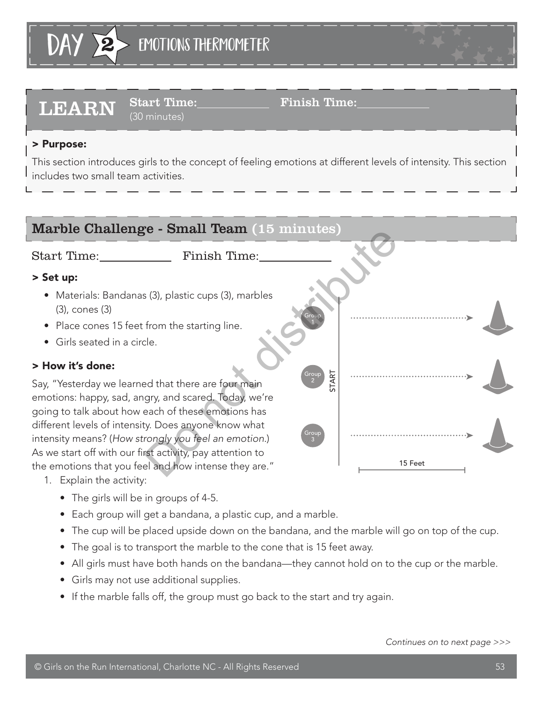

# LEARN Start Time: Finish Time:

(30 minutes)

## > Purpose:

This section introduces girls to the concept of feeling emotions at different levels of intensity. This section includes two small team activities.



- 1. Explain the activity:
	- The girls will be in groups of 4-5.
	- Each group will get a bandana, a plastic cup, and a marble.
	- The cup will be placed upside down on the bandana, and the marble will go on top of the cup.
	- The goal is to transport the marble to the cone that is 15 feet away.
	- All girls must have both hands on the bandana—they cannot hold on to the cup or the marble.
	- Girls may not use additional supplies.
	- If the marble falls off, the group must go back to the start and try again.

*Continues on to next page >>>*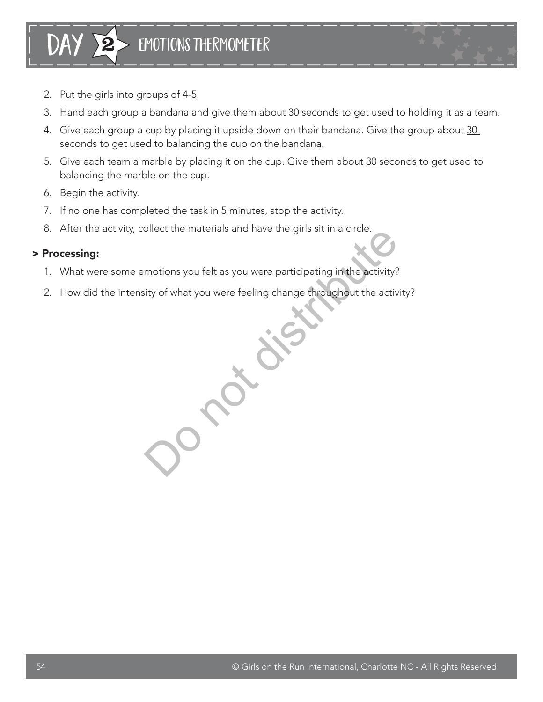- 2. Put the girls into groups of 4-5.
- 3. Hand each group a bandana and give them about 30 seconds to get used to holding it as a team.
- 4. Give each group a cup by placing it upside down on their bandana. Give the group about 30 seconds to get used to balancing the cup on the bandana.
- 5. Give each team a marble by placing it on the cup. Give them about 30 seconds to get used to balancing the marble on the cup.
- 6. Begin the activity.
- 7. If no one has completed the task in 5 minutes, stop the activity.
- 8. After the activity, collect the materials and have the girls sit in a circle.

### > Processing:

- 1. What were some emotions you felt as you were participating in the activity?
- 2. How did the intensity of what you were feeling change throughout the activity? onect the materials and have the girls sit in a clicie.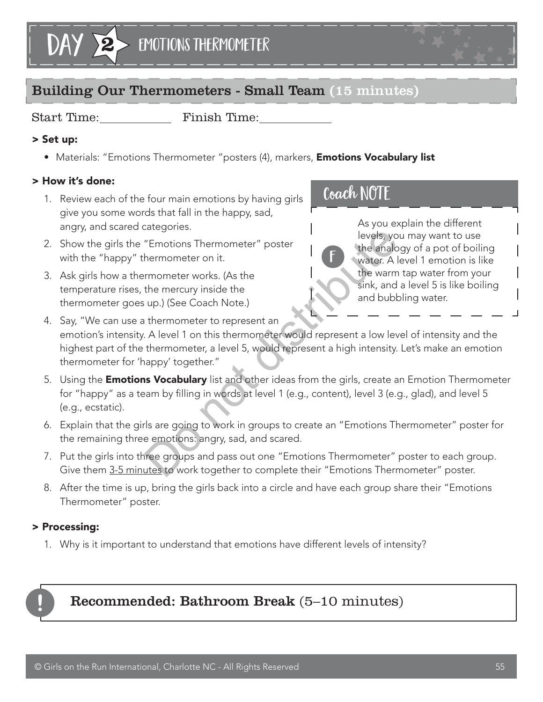

## Building Our Thermometers - Small Team (15 minutes)

Start Time: Finish Time:

## > Set up:

• Materials: "Emotions Thermometer "posters (4), markers, **Emotions Vocabulary list** 

## > How it's done:

- 1. Review each of the four main emotions by having girls give you some words that fall in the happy, sad, angry, and scared categories.
- 2. Show the girls the "Emotions Thermometer" poster with the "happy" thermometer on it.
- 3. Ask girls how a thermometer works. (As the temperature rises, the mercury inside the thermometer goes up.) (See Coach Note.)

## Coach NOTE

f

As you explain the different levels, you may want to use the analogy of a pot of boiling water. A level 1 emotion is like the warm tap water from your sink, and a level 5 is like boiling and bubbling water.

- 4. Say, "We can use a thermometer to represent an emotion's intensity. A level 1 on this thermometer would represent a low level of intensity and the highest part of the thermometer, a level 5, would represent a high intensity. Let's make an emotion thermometer for 'happy' together." "Emotions Thermometer" poster<br>
"Emotions Thermometer" poster<br>
the analogy wheter. Al<br>
"Immenter works. (As the<br>
the mercury inside the<br>
up.) (See Coach Note.)<br>
thermometer to represent an<br>
A level 1 on this thermometer wou
- 5. Using the **Emotions Vocabulary** list and other ideas from the girls, create an Emotion Thermometer for "happy" as a team by filling in words at level 1 (e.g., content), level 3 (e.g., glad), and level 5 (e.g., ecstatic).
- 6. Explain that the girls are going to work in groups to create an "Emotions Thermometer" poster for the remaining three emotions: angry, sad, and scared.
- 7. Put the girls into three groups and pass out one "Emotions Thermometer" poster to each group. Give them 3-5 minutes to work together to complete their "Emotions Thermometer" poster.
- 8. After the time is up, bring the girls back into a circle and have each group share their "Emotions Thermometer" poster.

## > Processing:

1. Why is it important to understand that emotions have different levels of intensity?



## Recommended: Bathroom Break (5–10 minutes)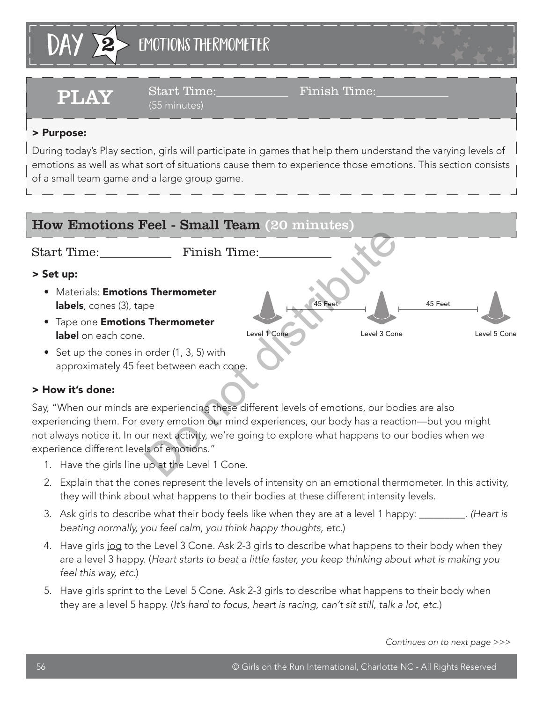

PLAY Start Time:\_\_\_\_\_\_\_\_ Finish Time:\_ (55 minutes)

## > Purpose:

During today's Play section, girls will participate in games that help them understand the varying levels of emotions as well as what sort of situations cause them to experience those emotions. This section consists of a small team game and a large group game.



approximately 45 feet between each cone.

## > How it's done:

Say, "When our minds are experiencing these different levels of emotions, our bodies are also experiencing them. For every emotion our mind experiences, our body has a reaction—but you might not always notice it. In our next activity, we're going to explore what happens to our bodies when we experience different levels of emotions."

- 1. Have the girls line up at the Level 1 Cone.
- 2. Explain that the cones represent the levels of intensity on an emotional thermometer. In this activity, they will think about what happens to their bodies at these different intensity levels.
- 3. Ask girls to describe what their body feels like when they are at a level 1 happy: \_\_\_\_\_\_\_\_\_. *(Heart is beating normally, you feel calm, you think happy thoughts, etc.*)
- 4. Have girls jog to the Level 3 Cone. Ask 2-3 girls to describe what happens to their body when they are a level 3 happy. (*Heart starts to beat a little faster, you keep thinking about what is making you feel this way, etc.*)
- 5. Have girls sprint to the Level 5 Cone. Ask 2-3 girls to describe what happens to their body when they are a level 5 happy. (*It's hard to focus, heart is racing, can't sit still, talk a lot, etc.*)

*Continues on to next page >>>*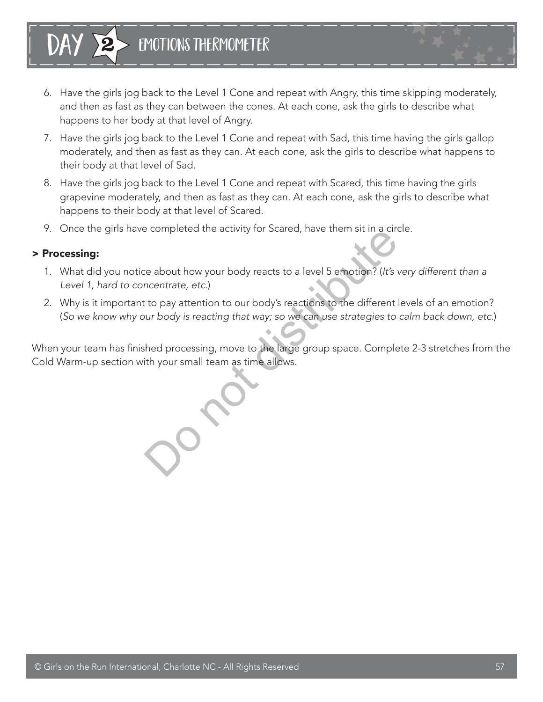

- 6. Have the girls jog back to the Level 1 Cone and repeat with Angry, this time skipping moderately, and then as fast as they can between the cones. At each cone, ask the girls to describe what happens to her body at that level of Angry.
- 7. Have the girls jog back to the Level 1 Cone and repeat with Sad, this time having the girls gallop moderately, and then as fast as they can. At each cone, ask the girls to describe what happens to their body at that level of Sad.
- 8. Have the girls jog back to the Level 1 Cone and repeat with Scared, this time having the girls grapevine moderately, and then as fast as they can. At each cone, ask the girls to describe what happens to their body at that level of Scared.
- 9. Once the girls have completed the activity for Scared, have them sit in a circle.

#### > Processing:

| DAY

- 1. What did you notice about how your body reacts to a level 5 emotion? (*It's very different than a Level 1, hard to concentrate, etc.*)
- 2. Why is it important to pay attention to our body's reactions to the different levels of an emotion? (*So we know why our body is reacting that way; so we can use strategies to calm back down, etc.*)

When your team has finished processing, move to the large group space. Complete 2-3 stretches from the Cold Warm-up section with your small team as time allows.

e about how your body reacts to a level 5 emotion? (It's variant<br>transfer about how your body reacts to a level 5 emotion? (It's variant<br>transfer action to our body's reactions to the different<br>turn body is reacting that w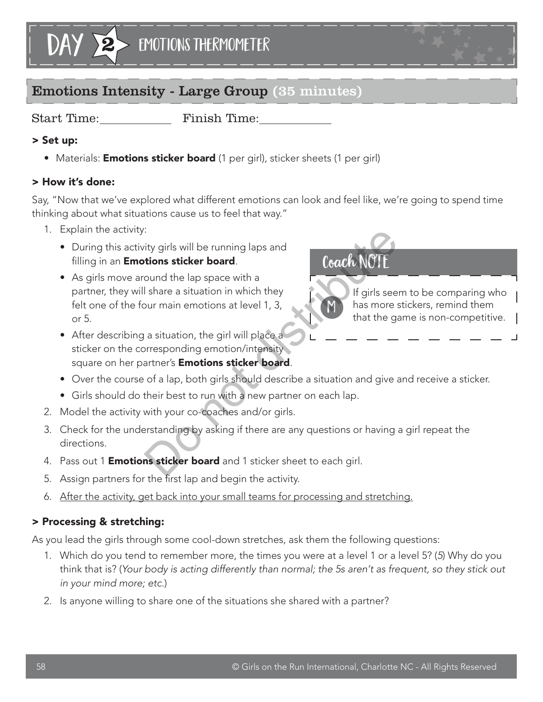

## Emotions Intensity - Large Group (35 minutes)

Start Time: Finish Time:

## > Set up:

• Materials: **Emotions sticker board** (1 per girl), sticker sheets (1 per girl)

## > How it's done:

Say, "Now that we've explored what different emotions can look and feel like, we're going to spend time thinking about what situations cause us to feel that way."

- 1. Explain the activity:
	- During this activity girls will be running laps and filling in an **Emotions sticker board**.
	- As girls move around the lap space with a partner, they will share a situation in which they felt one of the four main emotions at level 1, 3, or 5. The strict of the minimal strict of the strict of the street of the street of the structure of that the gas a situation, the girl will place a<br>
	a situation, the girl will place a<br>
	a situation, the girl will place a<br>
	a situ
	- After describing a situation, the girl will place a sticker on the corresponding emotion/intensity square on her partner's **Emotions sticker board**.

## • Over the course of a lap, both girls should describe a situation and give and receive a sticker.

- Girls should do their best to run with a new partner on each lap.
- 2. Model the activity with your co-coaches and/or girls.
- 3. Check for the understanding by asking if there are any questions or having a girl repeat the directions.
- 4. Pass out 1 **Emotions sticker board** and 1 sticker sheet to each girl.
- 5. Assign partners for the first lap and begin the activity.
- 6. After the activity, get back into your small teams for processing and stretching.

## > Processing & stretching:

As you lead the girls through some cool-down stretches, ask them the following questions:

- 1. Which do you tend to remember more, the times you were at a level 1 or a level 5? (*5*) Why do you think that is? (*Your body is acting differently than normal; the 5s aren't as frequent, so they stick out in your mind more; etc.*)
- 2. Is anyone willing to share one of the situations she shared with a partner?

# Coach NO

M

If girls seem to be comparing who has more stickers, remind them that the game is non-competitive.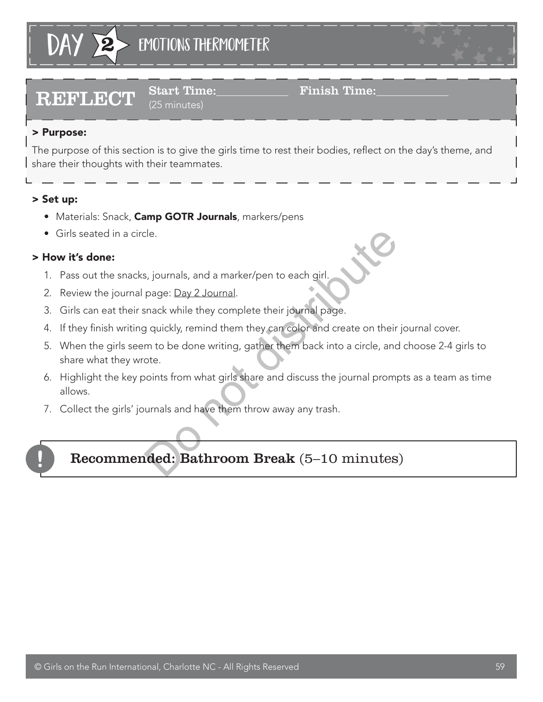

# $\textbf{REFLECT} \quad \text{Start Time:} \quad \text{Final} \quad \text{Final} \quad \text{Final} \quad \text{Time:}$

### (25 minutes)

## > Purpose:

The purpose of this section is to give the girls time to rest their bodies, reflect on the day's theme, and share their thoughts with their teammates.

## > Set up:

- Materials: Snack, Camp GOTR Journals, markers/pens
- Girls seated in a circle.

## > How it's done:

- 1. Pass out the snacks, journals, and a marker/pen to each girl.
- 2. Review the journal page: Day 2 Journal.
- 3. Girls can eat their snack while they complete their journal page.
- 4. If they finish writing quickly, remind them they can color and create on their journal cover.
- 5. When the girls seem to be done writing, gather them back into a circle, and choose 2-4 girls to share what they wrote. chesseler<br>
S. journals, and a marker/pen to each girl.<br>
page: Day 2 Journal.<br>
Jaquickly, remind them they can color and create on their<br>
m to be done writing, gather them back into a circle, ancote.<br>
Journals from what gir
- 6. Highlight the key points from what girls share and discuss the journal prompts as a team as time allows.
- 7. Collect the girls' journals and have them throw away any trash.



## Recommended: Bathroom Break (5–10 minutes)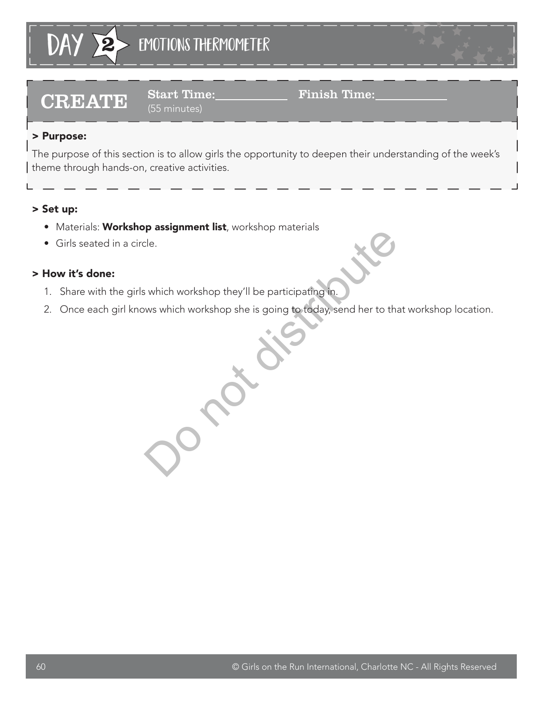

# $\textbf{CREATE} \quad \substack{\text{Start Time:}\ \textcolor{red}{\mathbf{Simple:}}\ \textcolor{red}{\mathbf{F}}\ \textcolor{red}{\mathbf{F}}\ \textcolor{red}{\mathbf{Simple:}}\ \textcolor{red}{\mathbf{F}}\ \textcolor{red}{\mathbf{F}}\ \textcolor{red}{\mathbf{F}}\ \textcolor{red}{\mathbf{H}}\ \textcolor{red}{\mathbf{H}}\ \textcolor{red}{\mathbf{H}}\ \textcolor{red}{\mathbf{S}}\ \textcolor{red}{\mathbf{S}}\ \textcolor{red}{\mathbf{D}}\ \textcolor{red}{\mathbf{H}}\ \textcolor{red}{\mathbf{H}}\ \textcolor$

(55 minutes)

### > Purpose:

The purpose of this section is to allow girls the opportunity to deepen their understanding of the week's theme through hands-on, creative activities.

### > Set up:

- Materials: Workshop assignment list, workshop materials
- Girls seated in a circle.

### > How it's done:

- 1. Share with the girls which workshop they'll be participating in.
- 2. Once each girl knows which workshop she is going to today, send her to that workshop location.

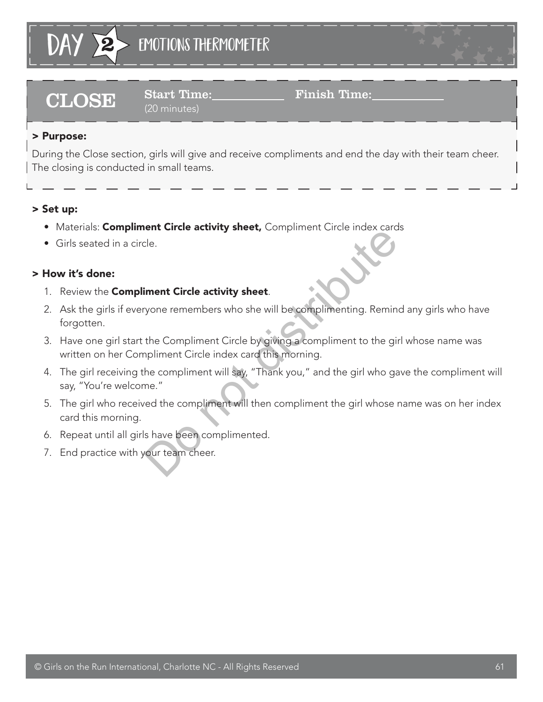

# $\textbf{CLOSE} \quad \begin{array}{c} \text{Start Time:} \quad \text{Final} \quad \text{Final} \quad \text{Final} \quad \text{Final} \quad \text{Final} \quad \text{Final} \quad \text{Final} \quad \text{Final} \quad \text{Final} \quad \text{Final} \quad \text{Final} \quad \text{Final} \quad \text{Final} \quad \text{Final} \quad \text{Final} \quad \text{Final} \quad \text{Final} \quad \text{Final} \quad \text{Final} \quad \text{Final} \quad \text{Final} \quad \text{Final} \quad \text{Final} \quad \text{Final} \quad \text{Final} \quad \text{Final} \quad \text{Final} \quad \text{Final}$

# (20 minutes)

## > Purpose:

During the Close section, girls will give and receive compliments and end the day with their team cheer. The closing is conducted in small teams.

## > Set up:

- Materials: **Compliment Circle activity sheet,** Compliment Circle index cards
- Girls seated in a circle.

## > How it's done:

- 1. Review the **Compliment Circle activity sheet**.
- 2. Ask the girls if everyone remembers who she will be complimenting. Remind any girls who have forgotten.
- 3. Have one girl start the Compliment Circle by giving a compliment to the girl whose name was written on her Compliment Circle index card this morning.
- 4. The girl receiving the compliment will say, "Thank you," and the girl who gave the compliment will say, "You're welcome." Ele.<br> **Solution:** Circle activity sheet.<br>
Solution: The Compliment Circle by giving a complimenting. Reminities<br>
the Compliment Circle by giving a compliment to the girl<br>
pliment Circle index card this morning.<br>
Thank you,
- 5. The girl who received the compliment will then compliment the girl whose name was on her index card this morning.
- 6. Repeat until all girls have been complimented.
- 7. End practice with your team cheer.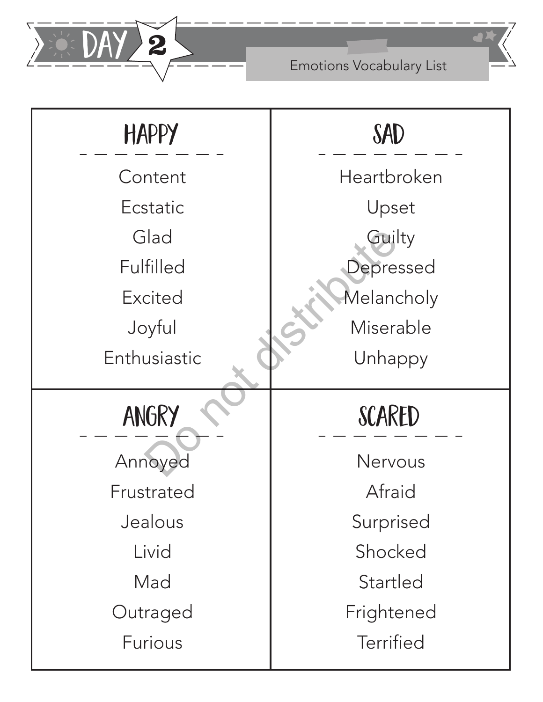

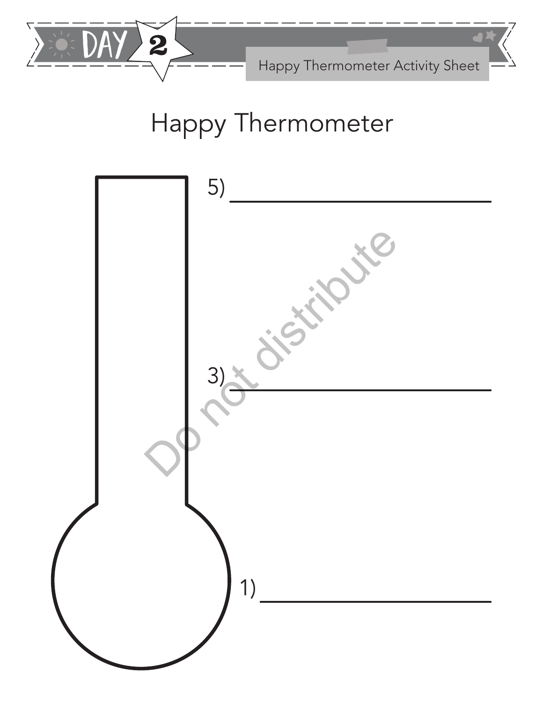

Happy Thermometer Activity Sheet

# Happy Thermometer

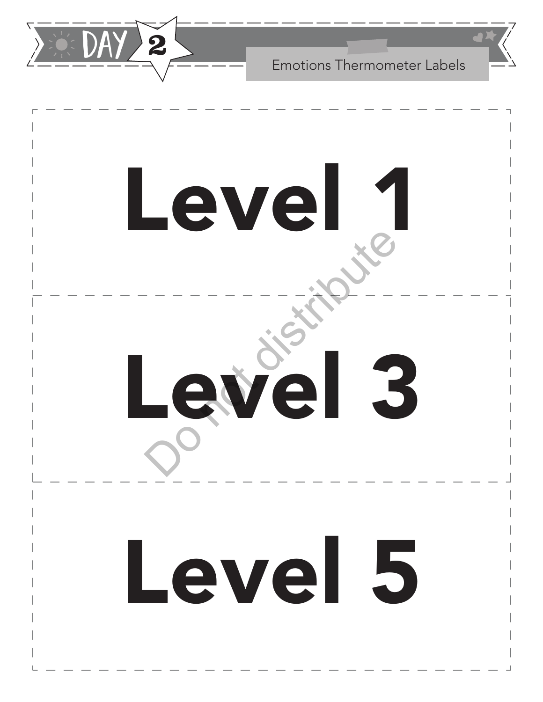

Emotions Thermometer Labels

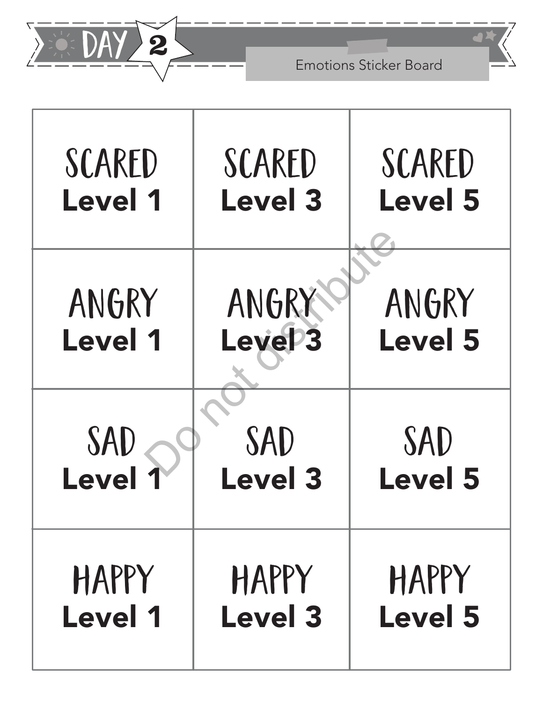

| SCARED         | SCARED              | SCARED         |
|----------------|---------------------|----------------|
| <b>Level 1</b> | <b>Level 3</b>      | <b>Level 5</b> |
| ANGRY          | ANGRY               | ANGRY          |
| <b>Level 1</b> | Leve <sup>1</sup> 3 | <b>Level 5</b> |
| <b>SAD</b>     | SAD                 | SAD            |
| Level          | <b>Level 3</b>      | <b>Level 5</b> |
| HAPPY          | HAPPY               | HAPPY          |
| <b>Level 1</b> | <b>Level 3</b>      | <b>Level 5</b> |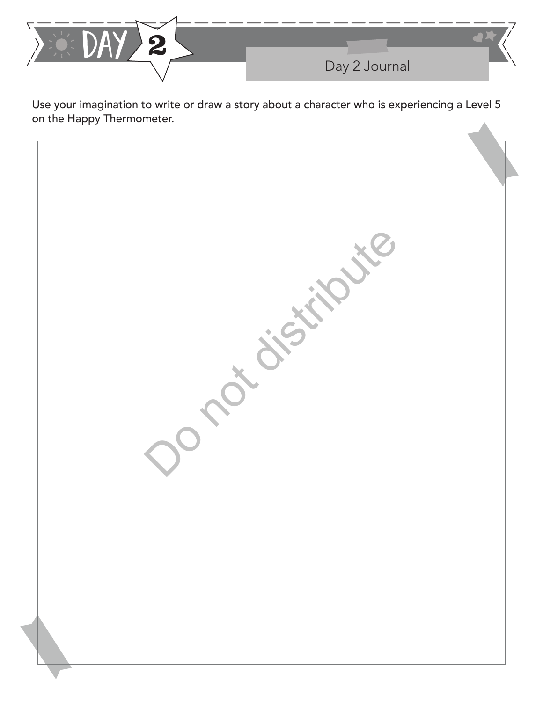

Use your imagination to write or draw a story about a character who is experiencing a Level 5 on the Happy Thermometer.